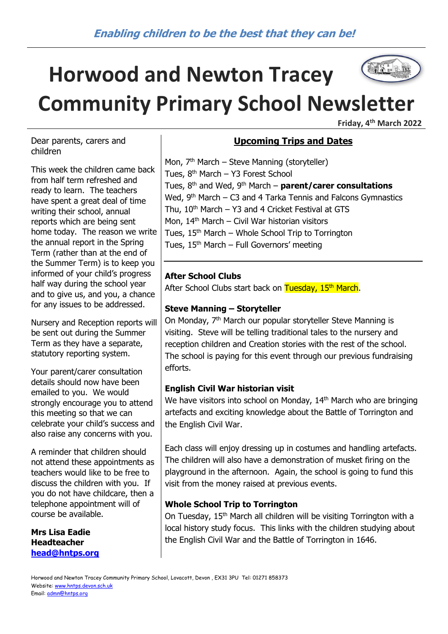# The Latitude **Horwood and Newton Tracey Community Primary School Newsletter**

**Friday, 4th March 2022**

Dear parents, carers and children

This week the children came back from half term refreshed and ready to learn. The teachers have spent a great deal of time writing their school, annual reports which are being sent home today. The reason we write the annual report in the Spring Term (rather than at the end of the Summer Term) is to keep you informed of your child's progress half way during the school year and to give us, and you, a chance for any issues to be addressed.

Nursery and Reception reports will be sent out during the Summer Term as they have a separate, statutory reporting system.

Your parent/carer consultation details should now have been emailed to you. We would strongly encourage you to attend this meeting so that we can celebrate your child's success and also raise any concerns with you.

A reminder that children should not attend these appointments as teachers would like to be free to discuss the children with you. If you do not have childcare, then a telephone appointment will of course be available.

**Mrs Lisa Eadie Headteacher [head@hntps.org](mailto:head@hntps.org)**

# **Upcoming Trips and Dates**

Mon, 7<sup>th</sup> March – Steve Manning (storyteller) Tues,  $8<sup>th</sup>$  March – Y3 Forest School Tues, 8th and Wed, 9th March – **parent/carer consultations** Wed,  $9<sup>th</sup>$  March – C3 and 4 Tarka Tennis and Falcons Gymnastics Thu,  $10^{th}$  March – Y3 and 4 Cricket Festival at GTS Mon, 14<sup>th</sup> March – Civil War historian visitors Tues,  $15<sup>th</sup>$  March – Whole School Trip to Torrington Tues,  $15<sup>th</sup>$  March – Full Governors' meeting

# **After School Clubs**

After School Clubs start back on Tuesday, 15<sup>th</sup> March.

# **Steve Manning – Storyteller**

On Monday, 7<sup>th</sup> March our popular storyteller Steve Manning is visiting. Steve will be telling traditional tales to the nursery and reception children and Creation stories with the rest of the school. The school is paying for this event through our previous fundraising efforts.

### **English Civil War historian visit**

We have visitors into school on Monday,  $14<sup>th</sup>$  March who are bringing artefacts and exciting knowledge about the Battle of Torrington and the English Civil War.

Each class will enjoy dressing up in costumes and handling artefacts. The children will also have a demonstration of musket firing on the playground in the afternoon. Again, the school is going to fund this visit from the money raised at previous events.

### **Whole School Trip to Torrington**

On Tuesday, 15<sup>th</sup> March all children will be visiting Torrington with a local history study focus. This links with the children studying about the English Civil War and the Battle of Torrington in 1646.

Horwood and Newton Tracey Community Primary School, Lovacott, Devon , EX31 3PU Tel: 01271 858373 Website[: www.hntps.devon.sch.uk](http://www.hntps.devon.sch.uk/) Email: [admn@hntps.org](mailto:admn@hntps.org)

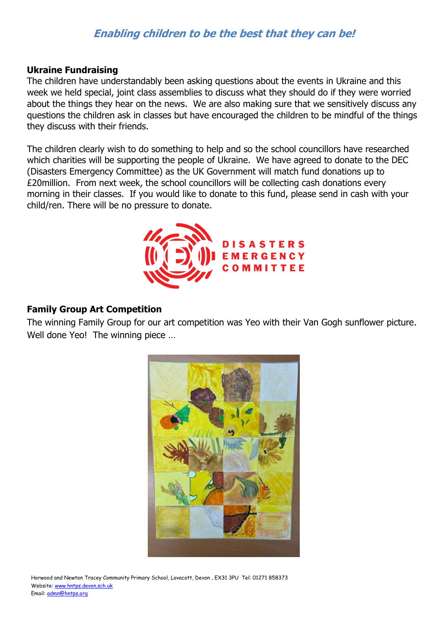# **Enabling children to be the best that they can be!**

#### **Ukraine Fundraising**

The children have understandably been asking questions about the events in Ukraine and this week we held special, joint class assemblies to discuss what they should do if they were worried about the things they hear on the news. We are also making sure that we sensitively discuss any questions the children ask in classes but have encouraged the children to be mindful of the things they discuss with their friends.

The children clearly wish to do something to help and so the school councillors have researched which charities will be supporting the people of Ukraine. We have agreed to donate to the DEC (Disasters Emergency Committee) as the UK Government will match fund donations up to £20million. From next week, the school councillors will be collecting cash donations every morning in their classes. If you would like to donate to this fund, please send in cash with your child/ren. There will be no pressure to donate.



#### **Family Group Art Competition**

The winning Family Group for our art competition was Yeo with their Van Gogh sunflower picture. Well done Yeo! The winning piece ...



Horwood and Newton Tracey Community Primary School, Lovacott, Devon , EX31 3PU Tel: 01271 858373 Website[: www.hntps.devon.sch.uk](http://www.hntps.devon.sch.uk/) Email: [admn@hntps.org](mailto:admn@hntps.org)